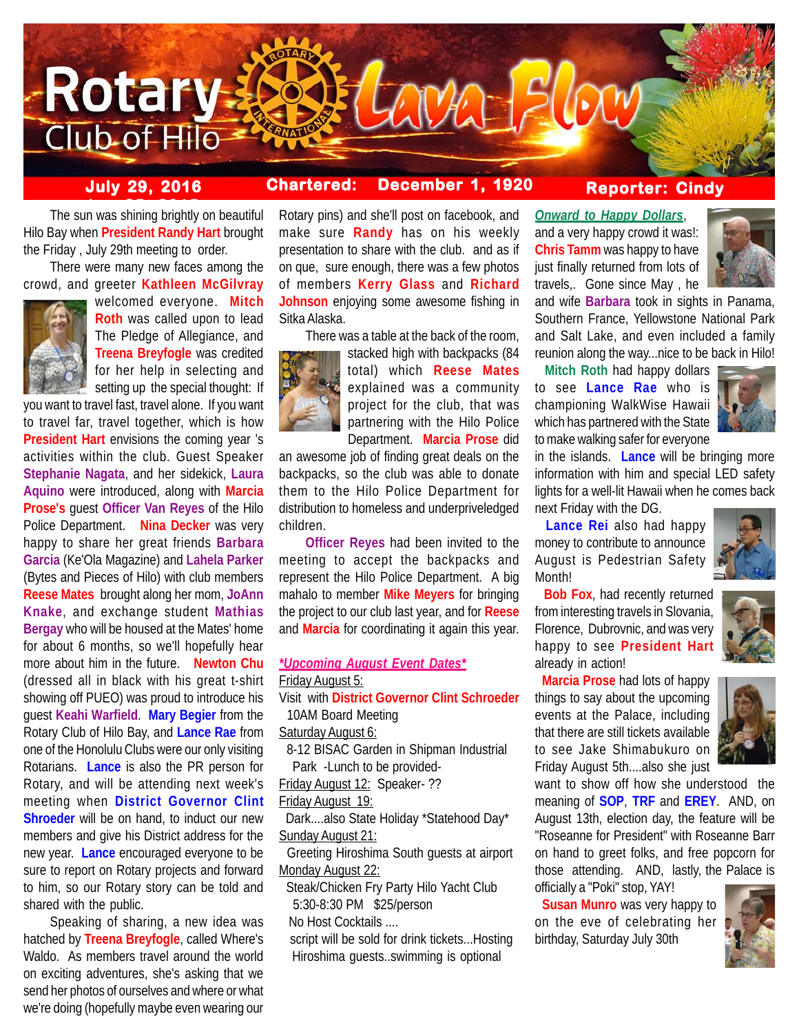

# **July 29, 2016 Chartered: December 1, 1920**

# **Reporter: Cindy**

**The sun was shining brightly on beautiful** Hilo Bay when **President Randy Hart** brought the Friday , July 29th meeting to order.

There were many new faces among the crowd, and greeter **Kathleen McGilvray**



welcomed everyone. **Mitch Roth** was called upon to lead The Pledge of Allegiance, and **Treena Breyfogle** was credited for her help in selecting and setting up the special thought: If

you want to travel fast, travel alone. If you want to travel far, travel together, which is how **President Hart** envisions the coming year 's activities within the club. Guest Speaker **Stephanie Nagata**, and her sidekick, **Laura Aquino** were introduced, along with **Marcia Prose's** guest **Officer Van Reyes** of the Hilo Police Department. **Nina Decker** was very happy to share her great friends **Barbara Garcia** (Ke'Ola Magazine) and **Lahela Parker** (Bytes and Pieces of Hilo) with club members **Reese Mates** brought along her mom, **JoAnn Knake**, and exchange student **Mathias Bergay** who will be housed at the Mates' home for about 6 months, so we'll hopefully hear more about him in the future. **Newton Chu** (dressed all in black with his great t-shirt showing off PUEO) was proud to introduce his guest **Keahi Warfield**. **Mary Begier** from the Rotary Club of Hilo Bay, and **Lance Rae** from one of the Honolulu Clubs were our only visiting Rotarians. **Lance** is also the PR person for Rotary, and will be attending next week's meeting when **District Governor Clint Shroeder** will be on hand, to induct our new members and give his District address for the new year. **Lance** encouraged everyone to be sure to report on Rotary projects and forward to him, so our Rotary story can be told and shared with the public.

Speaking of sharing, a new idea was hatched by **Treena Breyfogle**, called Where's Waldo. As members travel around the world on exciting adventures, she's asking that we send her photos of ourselves and where or what we're doing (hopefully maybe even wearing our

Rotary pins) and she'll post on facebook, and make sure **Randy** has on his weekly presentation to share with the club. and as if on que, sure enough, there was a few photos of members **Kerry Glass** and **Richard Johnson** enjoying some awesome fishing in Sitka Alaska.

There was a table at the back of the room,



stacked high with backpacks (84 total) which **Reese Mates** explained was a community project for the club, that was partnering with the Hilo Police Department. **Marcia Prose** did

an awesome job of finding great deals on the backpacks, so the club was able to donate them to the Hilo Police Department for distribution to homeless and underpriveledged children.

**Officer Reyes** had been invited to the meeting to accept the backpacks and represent the Hilo Police Department. A big mahalo to member **Mike Meyers** for bringing the project to our club last year, and for **Reese** and **Marcia** for coordinating it again this year.

## *\*Upcoming August Event Dates\** Friday August 5:

Visit with **District Governor Clint Schroeder** 10AM Board Meeting

Saturday August 6:

 8-12 BISAC Garden in Shipman Industrial Park -Lunch to be provided-

Friday August 12: Speaker- ??

Friday August 19:

 Dark....also State Holiday \*Statehood Day\* Sunday August 21:

 Greeting Hiroshima South guests at airport Monday August 22:

 Steak/Chicken Fry Party Hilo Yacht Club 5:30-8:30 PM \$25/person

No Host Cocktails ....

 script will be sold for drink tickets...Hosting Hiroshima guests..swimming is optional

*Onward to Happy Dollars*, and a very happy crowd it was!: **Chris Tamm** was happy to have just finally returned from lots of travels,. Gone since May , he



and wife **Barbara** took in sights in Panama, Southern France, Yellowstone National Park and Salt Lake, and even included a family reunion along the way...nice to be back in Hilo!

 **Mitch Roth** had happy dollars to see **Lance Rae** who is championing WalkWise Hawaii which has partnered with the State to make walking safer for everyone



in the islands. **Lance** will be bringing more information with him and special LED safety lights for a well-lit Hawaii when he comes back next Friday with the DG.

 **Lance Rei** also had happy money to contribute to announce August is Pedestrian Safety **Month!** 



 **Bob Fox**, had recently returned from interesting travels in Slovania, Florence, Dubrovnic, and was very happy to see **President Hart** already in action!

 **Marcia Prose** had lots of happy things to say about the upcoming events at the Palace, including that there are still tickets available to see Jake Shimabukuro on Friday August 5th....also she just



want to show off how she understood the meaning of **SOP**, **TRF** and **EREY**. AND, on August 13th, election day, the feature will be "Roseanne for President" with Roseanne Barr on hand to greet folks, and free popcorn for those attending. AND, lastly, the Palace is officially a "Poki" stop, YAY!

 **Susan Munro** was very happy to on the eve of celebrating her birthday, Saturday July 30th